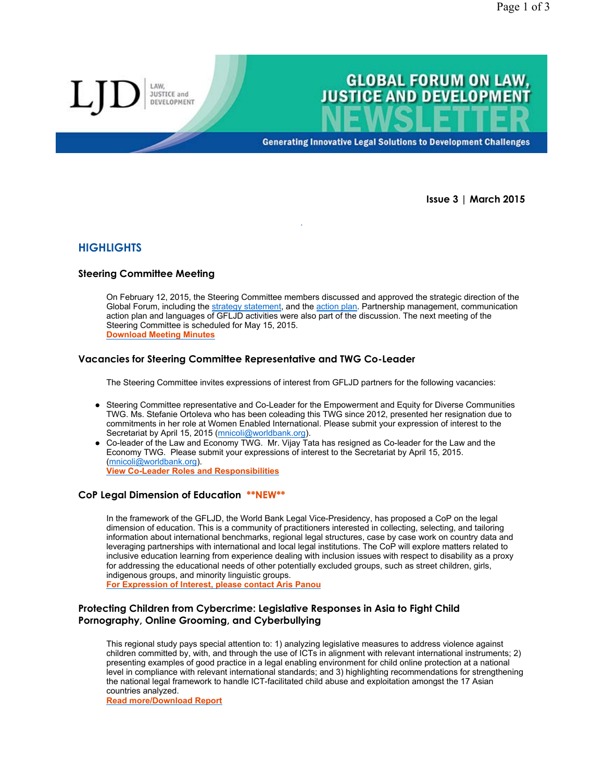

**Generating Innovative Legal Solutions to Development Challenges** 

**Issue 3 | March 2015**

# **HIGHLIGHTS**

# **Steering Committee Meeting**

LAW JUSTICE and DEVELOPMENT

On February 12, 2015, the Steering Committee members discussed and approved the strategic direction of the Global Forum, including the strategy statement, and the action plan. Partnership management, communication action plan and languages of GFLJD activities were also part of the discussion. The next meeting of the Steering Committee is scheduled for May 15, 2015. **Download Meeting Minutes**

.

## **Vacancies for Steering Committee Representative and TWG Co-Leader**

The Steering Committee invites expressions of interest from GFLJD partners for the following vacancies:

- Steering Committee representative and Co-Leader for the Empowerment and Equity for Diverse Communities TWG. Ms. Stefanie Ortoleva who has been coleading this TWG since 2012, presented her resignation due to commitments in her role at Women Enabled International. Please submit your expression of interest to the Secretariat by April 15, 2015 (mnicoli@worldbank.org).
- Co-leader of the Law and Economy TWG. Mr. Vijay Tata has resigned as Co-leader for the Law and the Economy TWG. Please submit your expressions of interest to the Secretariat by April 15, 2015. (mnicoli@worldbank.org). **View Co-Leader Roles and Responsibilities**

### **CoP Legal Dimension of Education \*\*NEW\*\***

In the framework of the GFLJD, the World Bank Legal Vice-Presidency, has proposed a CoP on the legal dimension of education. This is a community of practitioners interested in collecting, selecting, and tailoring information about international benchmarks, regional legal structures, case by case work on country data and leveraging partnerships with international and local legal institutions. The CoP will explore matters related to inclusive education learning from experience dealing with inclusion issues with respect to disability as a proxy for addressing the educational needs of other potentially excluded groups, such as street children, girls, indigenous groups, and minority linguistic groups.

**For Expression of Interest, please contact Aris Panou**

## **Protecting Children from Cybercrime: Legislative Responses in Asia to Fight Child Pornography, Online Grooming, and Cyberbullying**

This regional study pays special attention to: 1) analyzing legislative measures to address violence against children committed by, with, and through the use of ICTs in alignment with relevant international instruments; 2) presenting examples of good practice in a legal enabling environment for child online protection at a national level in compliance with relevant international standards; and 3) highlighting recommendations for strengthening the national legal framework to handle ICT-facilitated child abuse and exploitation amongst the 17 Asian countries analyzed.

**Read more/Download Report**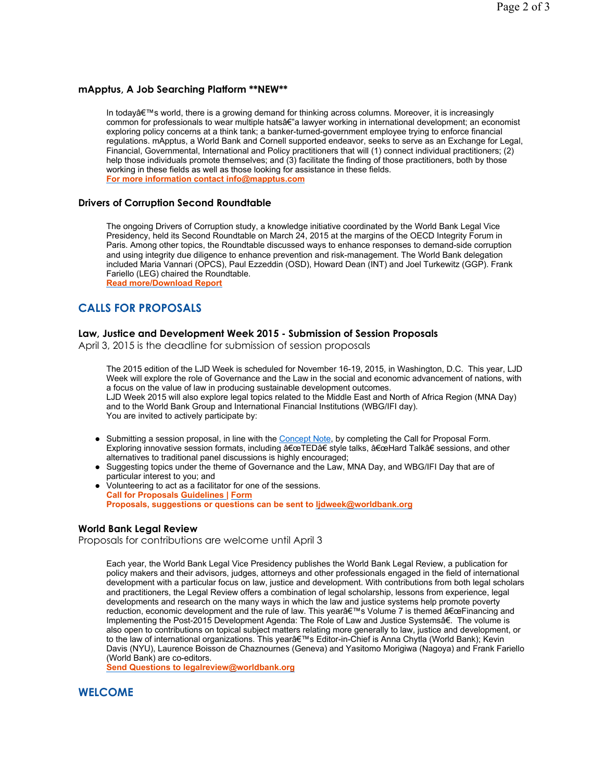## **mApptus, A Job Searching Platform \*\*NEW\*\***

In today's world, there is a growing demand for thinking across columns. Moreover, it is increasingly common for professionals to wear multiple hatsâ€"a lawyer working in international development; an economist exploring policy concerns at a think tank; a banker-turned-government employee trying to enforce financial regulations. mApptus, a World Bank and Cornell supported endeavor, seeks to serve as an Exchange for Legal, Financial, Governmental, International and Policy practitioners that will (1) connect individual practitioners; (2) help those individuals promote themselves; and (3) facilitate the finding of those practitioners, both by those working in these fields as well as those looking for assistance in these fields. **For more information contact info@mapptus.com**

### **Drivers of Corruption Second Roundtable**

The ongoing Drivers of Corruption study, a knowledge initiative coordinated by the World Bank Legal Vice Presidency, held its Second Roundtable on March 24, 2015 at the margins of the OECD Integrity Forum in Paris. Among other topics, the Roundtable discussed ways to enhance responses to demand-side corruption and using integrity due diligence to enhance prevention and risk-management. The World Bank delegation included Maria Vannari (OPCS), Paul Ezzeddin (OSD), Howard Dean (INT) and Joel Turkewitz (GGP). Frank Fariello (LEG) chaired the Roundtable.

**Read more/Download Report**

# **CALLS FOR PROPOSALS**

#### **Law, Justice and Development Week 2015 - Submission of Session Proposals**

April 3, 2015 is the deadline for submission of session proposals

The 2015 edition of the LJD Week is scheduled for November 16-19, 2015, in Washington, D.C. This year, LJD Week will explore the role of Governance and the Law in the social and economic advancement of nations, with a focus on the value of law in producing sustainable development outcomes. LJD Week 2015 will also explore legal topics related to the Middle East and North of Africa Region (MNA Day) and to the World Bank Group and International Financial Institutions (WBG/IFI day). You are invited to actively participate by:

- Submitting a session proposal, in line with the Concept Note, by completing the Call for Proposal Form. Exploring innovative session formats, including  $"TEDâ€$  style talks,  $â€ceHard$  Talk†sessions, and other alternatives to traditional panel discussions is highly encouraged;
- Suggesting topics under the theme of Governance and the Law, MNA Day, and WBG/IFI Day that are of particular interest to you; and
- Volunteering to act as a facilitator for one of the sessions. **Call for Proposals Guidelines | Form Proposals, suggestions or questions can be sent to ljdweek@worldbank.org**

### **World Bank Legal Review**

Proposals for contributions are welcome until April 3

Each year, the World Bank Legal Vice Presidency publishes the World Bank Legal Review, a publication for policy makers and their advisors, judges, attorneys and other professionals engaged in the field of international development with a particular focus on law, justice and development. With contributions from both legal scholars and practitioners, the Legal Review offers a combination of legal scholarship, lessons from experience, legal developments and research on the many ways in which the law and justice systems help promote poverty reduction, economic development and the rule of law. This year's Volume 7 is themed "Financing and Implementing the Post-2015 Development Agenda: The Role of Law and Justice Systemsâ€. The volume is also open to contributions on topical subject matters relating more generally to law, justice and development, or to the law of international organizations. This yeara€™s Editor-in-Chief is Anna Chytla (World Bank); Kevin Davis (NYU), Laurence Boisson de Chaznournes (Geneva) and Yasitomo Morigiwa (Nagoya) and Frank Fariello (World Bank) are co-editors.

**Send Questions to legalreview@worldbank.org**

# **WELCOME**